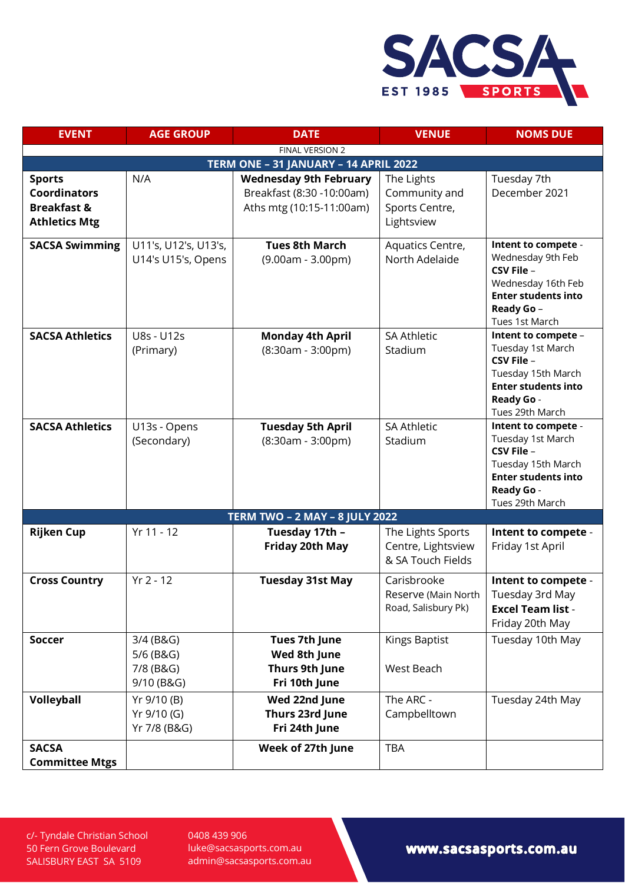

| <b>EVENT</b>                                                                           | <b>AGE GROUP</b>                                  | <b>DATE</b>                                                                            | <b>VENUE</b>                                                 | <b>NOMS DUE</b>                                                                                                                             |  |  |  |
|----------------------------------------------------------------------------------------|---------------------------------------------------|----------------------------------------------------------------------------------------|--------------------------------------------------------------|---------------------------------------------------------------------------------------------------------------------------------------------|--|--|--|
| FINAL VERSION 2                                                                        |                                                   |                                                                                        |                                                              |                                                                                                                                             |  |  |  |
| TERM ONE - 31 JANUARY - 14 APRIL 2022                                                  |                                                   |                                                                                        |                                                              |                                                                                                                                             |  |  |  |
| <b>Sports</b><br><b>Coordinators</b><br><b>Breakfast &amp;</b><br><b>Athletics Mtg</b> | N/A                                               | <b>Wednesday 9th February</b><br>Breakfast (8:30 -10:00am)<br>Aths mtg (10:15-11:00am) | The Lights<br>Community and<br>Sports Centre,<br>Lightsview  | Tuesday 7th<br>December 2021                                                                                                                |  |  |  |
| <b>SACSA Swimming</b>                                                                  | U11's, U12's, U13's,<br>U14's U15's, Opens        | <b>Tues 8th March</b><br>$(9.00am - 3.00pm)$                                           | Aquatics Centre,<br>North Adelaide                           | Intent to compete -<br>Wednesday 9th Feb<br>CSV File -<br>Wednesday 16th Feb<br><b>Enter students into</b><br>Ready Go -<br>Tues 1st March  |  |  |  |
| <b>SACSA Athletics</b>                                                                 | U8s - U12s<br>(Primary)                           | <b>Monday 4th April</b><br>$(8:30am - 3:00pm)$                                         | <b>SA Athletic</b><br>Stadium                                | Intent to compete -<br>Tuesday 1st March<br>CSV File -<br>Tuesday 15th March<br><b>Enter students into</b><br>Ready Go -<br>Tues 29th March |  |  |  |
| <b>SACSA Athletics</b>                                                                 | U13s - Opens<br>(Secondary)                       | <b>Tuesday 5th April</b><br>$(8:30am - 3:00pm)$                                        | <b>SA Athletic</b><br>Stadium                                | Intent to compete -<br>Tuesday 1st March<br>CSV File -<br>Tuesday 15th March<br><b>Enter students into</b><br>Ready Go -<br>Tues 29th March |  |  |  |
| <b>TERM TWO - 2 MAY - 8 JULY 2022</b>                                                  |                                                   |                                                                                        |                                                              |                                                                                                                                             |  |  |  |
| <b>Rijken Cup</b>                                                                      | Yr 11 - 12                                        | Tuesday 17th -<br><b>Friday 20th May</b>                                               | The Lights Sports<br>Centre, Lightsview<br>& SA Touch Fields | Intent to compete -<br>Friday 1st April                                                                                                     |  |  |  |
| <b>Cross Country</b>                                                                   | $Yr 2 - 12$                                       | <b>Tuesday 31st May</b>                                                                | Carisbrooke<br>Reserve (Main North<br>Road, Salisbury Pk)    | Intent to compete -<br>Tuesday 3rd May<br><b>Excel Team list -</b><br>Friday 20th May                                                       |  |  |  |
| <b>Soccer</b>                                                                          | 3/4 (B&G)<br>5/6 (B&G)<br>7/8 (B&G)<br>9/10 (B&G) | Tues 7th June<br>Wed 8th June<br>Thurs 9th June<br>Fri 10th June                       | Kings Baptist<br>West Beach                                  | Tuesday 10th May                                                                                                                            |  |  |  |
| Volleyball                                                                             | Yr 9/10 (B)<br>Yr 9/10 (G)<br>Yr 7/8 (B&G)        | Wed 22nd June<br>Thurs 23rd June<br>Fri 24th June                                      | The ARC -<br>Campbelltown                                    | Tuesday 24th May                                                                                                                            |  |  |  |
| <b>SACSA</b><br><b>Committee Mtgs</b>                                                  |                                                   | Week of 27th June                                                                      | <b>TBA</b>                                                   |                                                                                                                                             |  |  |  |

c/- Tyndale Christian School 50 Fern Grove Boulevard SALISBURY EAST SA 5109

0408 439 906 [luke@sacsasports.com.au](mailto:luke@sacsasports.com.au) admin@sacsasports.com.au

www.sacsasports.com.au